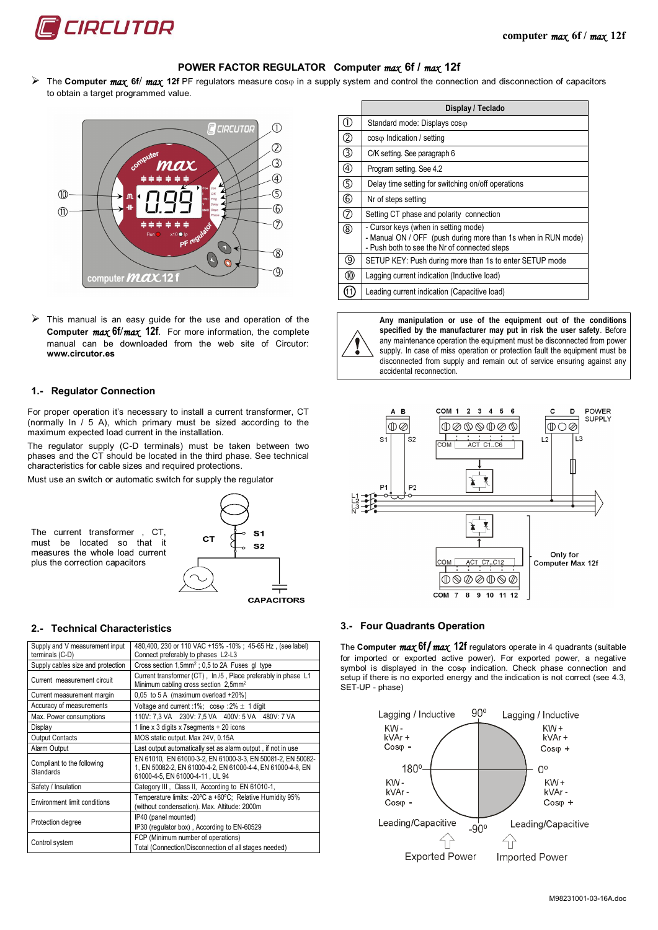

# **POWER FACTOR REGULATOR Computer** *max* **6f /** *max* **12f**

 $\triangleright$  The **Computer** *max* 6f / *max* 12f PF regulators measure cos<sub>(in</sub> a supply system and control the connection and disconnection of capacitors to obtain a target programmed value.



 $\triangleright$  This manual is an easy guide for the use and operation of the **Computer** *max* **6f/***max* **12f**. For more information, the complete manual can be downloaded from the web site of Circutor: **www.circutor.es**

### **1.- Regulator Connection**

For proper operation it's necessary to install a current transformer, CT (normally In / 5 A), which primary must be sized according to the maximum expected load current in the installation.

The regulator supply (C-D terminals) must be taken between two phases and the CT should be located in the third phase. See technical characteristics for cable sizes and required protections.

Must use an switch or automatic switch for supply the regulator

The current transformer , CT, must be located so that it measures the whole load current plus the correction capacitors



#### **2.- Technical Characteristics**

| Supply and V measurement input          | 480,400, 230 or 110 VAC +15% -10%; 45-65 Hz, (see label)                                                                                                      |  |  |  |  |  |  |
|-----------------------------------------|---------------------------------------------------------------------------------------------------------------------------------------------------------------|--|--|--|--|--|--|
| terminals (C-D)                         | Connect preferably to phases L2-L3                                                                                                                            |  |  |  |  |  |  |
| Supply cables size and protection       | Cross section 1,5mm <sup>2</sup> ; 0,5 to 2A Fuses gl type                                                                                                    |  |  |  |  |  |  |
| Current measurement circuit             | Current transformer (CT), In /5, Place preferably in phase L1<br>Minimum cabling cross section 2,5mm <sup>2</sup>                                             |  |  |  |  |  |  |
| Current measurement margin              | $0.05$ to $5$ A (maximum overload +20%)                                                                                                                       |  |  |  |  |  |  |
| Accuracy of measurements                | Voltage and current :1%; $\cos \varphi$ :2% $\pm$ 1 digit                                                                                                     |  |  |  |  |  |  |
| Max. Power consumptions                 | 110V: 7,3 VA 230V: 7,5 VA 400V: 5 VA 480V: 7 VA                                                                                                               |  |  |  |  |  |  |
| Display                                 | 1 line x 3 digits x 7 segments + 20 icons                                                                                                                     |  |  |  |  |  |  |
| <b>Output Contacts</b>                  | MOS static output. Max 24V, 0.15A                                                                                                                             |  |  |  |  |  |  |
| Alarm Output                            | Last output automatically set as alarm output, if not in use                                                                                                  |  |  |  |  |  |  |
| Compliant to the following<br>Standards | EN 61010. EN 61000-3-2. EN 61000-3-3. EN 50081-2. EN 50082-<br>1. EN 50082-2. EN 61000-4-2. EN 61000-4-4. EN 61000-4-8. EN<br>61000-4-5, EN 61000-4-11, UL 94 |  |  |  |  |  |  |
| Safety / Insulation                     | Category III, Class II, According to EN 61010-1,                                                                                                              |  |  |  |  |  |  |
| Environment limit conditions            | Temperature limits: -20°C a +60°C; Relative Humidity 95%<br>(without condensation). Max. Altitude: 2000m                                                      |  |  |  |  |  |  |
| Protection degree                       | IP40 (panel mounted)<br>IP30 (requlator box), According to EN-60529                                                                                           |  |  |  |  |  |  |
| Control system                          | FCP (Minimum number of operations)<br>Total (Connection/Disconnection of all stages needed)                                                                   |  |  |  |  |  |  |

|                | Display / Teclado                                                                                                                                     |
|----------------|-------------------------------------------------------------------------------------------------------------------------------------------------------|
| O.             | Standard mode: Displays coso                                                                                                                          |
| $\overline{O}$ | $cos\varphi$ Indication / setting                                                                                                                     |
| $\circledS$    | C/K setting. See paragraph 6                                                                                                                          |
| $^{\circledR}$ | Program setting. See 4.2                                                                                                                              |
| $\circledS$    | Delay time setting for switching on/off operations                                                                                                    |
| $^{\circledR}$ | Nr of steps setting                                                                                                                                   |
| $^\circledR$   | Setting CT phase and polarity connection                                                                                                              |
| $^{\circledR}$ | - Cursor keys (when in setting mode)<br>- Manual ON / OFF (push during more than 1s when in RUN mode)<br>- Push both to see the Nr of connected steps |
| (9)            | SETUP KEY: Push during more than 1s to enter SETUP mode                                                                                               |
| 0              | Lagging current indication (Inductive load)                                                                                                           |
|                | Leading current indication (Capacitive load)                                                                                                          |



**Any manipulation or use of the equipment out of the conditions specified by the manufacturer may put in risk the user safety**. Before any maintenance operation the equipment must be disconnected from power supply. In case of miss operation or protection fault the equipment must be disconnected from supply and remain out of service ensuring against any accidental reconnection.



#### **3.- Four Quadrants Operation**

The **Computer** *max* **6f/***max* **12f** regulators operate in 4 quadrants (suitable for imported or exported active power). For exported power, a negative symbol is displayed in the  $cos\varphi$  indication. Check phase connection and setup if there is no exported energy and the indication is not correct (see 4.3, SET-UP - phase)